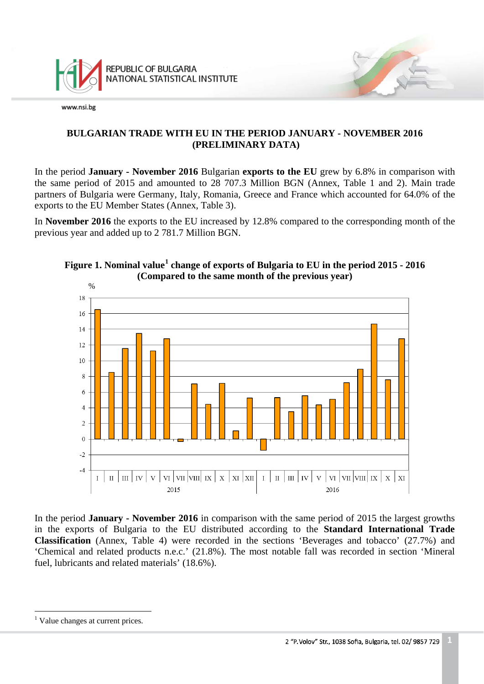

#### **BULGARIAN TRADE WITH EU IN THE PERIOD JANUARY - NOVEMBER 2016 (PRELIMINARY DATA)**

In the period **January - November 2016** Bulgarian **exports to the EU** grew by 6.8% in comparison with the same period of 2015 and amounted to 28 707.3 Million BGN (Annex, Table 1 and 2). Main trade partners of Bulgaria were Germany, Italy, Romania, Greece and France which accounted for 64.0% of the exports to the EU Member States (Annex, Table 3).

In **November 2016** the exports to the EU increased by 12.8% compared to the corresponding month of the previous year and added up to 2 781.7 Million BGN.



# **Figure 1. Nominal value[1](#page-0-0) change of exports of Bulgaria to EU in the period 2015 - 2016 (Compared to the same month of the previous year)**

In the period **January - November 2016** in comparison with the same period of 2015 the largest growths in the exports of Bulgaria to the EU distributed according to the **Standard International Trade Classification** (Annex, Table 4) were recorded in the sections 'Beverages and tobacco' (27.7%) and 'Chemical and related products n.e.c.' (21.8%). The most notable fall was recorded in section 'Mineral fuel, lubricants and related materials' (18.6%).

<span id="page-0-1"></span><span id="page-0-0"></span> $\frac{1}{\sqrt{2}}$ <sup>1</sup> Value changes at current prices.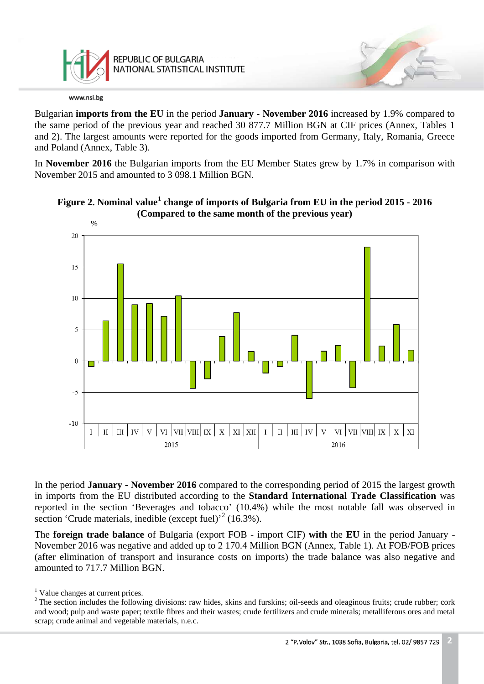

Bulgarian **imports from the EU** in the period **January - November 2016** increased by 1.9% compared to the same period of the previous year and reached 30 877.7 Million BGN at CIF prices (Annex, Tables 1 and 2). The largest amounts were reported for the goods imported from Germany, Italy, Romania, Greece and Poland (Annex, Table 3).

In **November 2016** the Bulgarian imports from the EU Member States grew by 1.7% in comparison with November 2015 and amounted to 3 098.1 Million BGN.





In the period **January - November 2016** compared to the corresponding period of 2015 the largest growth in imports from the EU distributed according to the **Standard International Trade Classification** was reported in the section 'Beverages and tobacco' (10.4%) while the most notable fall was observed in section 'Crude materials, inedible (except fuel)<sup>[2](#page-1-0)</sup> (16.3%).

The **foreign trade balance** of Bulgaria (export FOB - import CIF) **with** the **EU** in the period January - November 2016 was negative and added up to 2 170.4 Million BGN (Annex, Table 1). At FOB/FOB prices (after elimination of transport and insurance costs on imports) the trade balance was also negative and amounted to 717.7 Million BGN.

 $\frac{1}{\sqrt{2}}$ <sup>1</sup> Value changes at current prices.

<span id="page-1-0"></span><sup>&</sup>lt;sup>2</sup> The section includes the following divisions: raw hides, skins and furskins; oil-seeds and oleaginous fruits; crude rubber; cork and wood; pulp and waste paper; textile fibres and their wastes; crude fertilizers and crude minerals; metalliferous ores and metal scrap; crude animal and vegetable materials, n.e.c.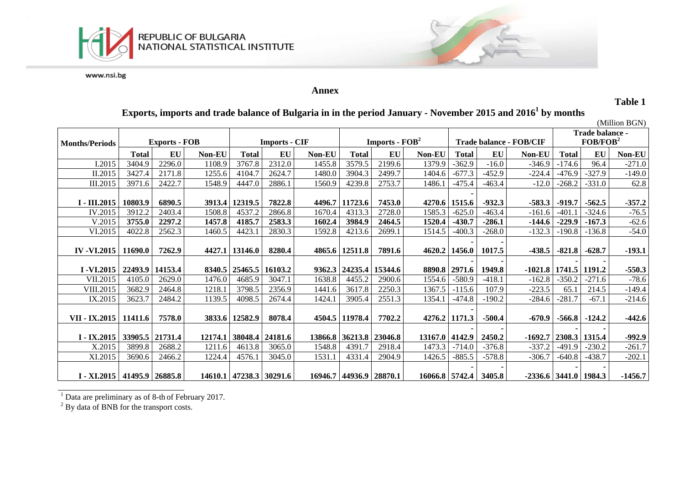

#### **Annex**

**Table 1**

# **Exports, imports and trade balance of Bulgaria in in the period January - November 2015 and 20161 by months**

(Million BGN)

| <b>Months/Periods</b>           |         | <b>Exports - FOB</b> |               |                         | <b>Imports - CIF</b>    |         |                         | <b>Imports - <math>\text{FOB}^2</math></b> |                |                 |                             | <b>Trade balance - FOB/CIF</b> |                         | Trade balance -<br>FOB/FOB <sup>2</sup> |           |
|---------------------------------|---------|----------------------|---------------|-------------------------|-------------------------|---------|-------------------------|--------------------------------------------|----------------|-----------------|-----------------------------|--------------------------------|-------------------------|-----------------------------------------|-----------|
|                                 | Total   | EU                   | <b>Non-EU</b> | <b>Total</b>            | EU                      | Non-EU  | <b>Total</b>            | EU                                         | Non-EU         | <b>Total</b>    | EU                          | Non-EU                         | <b>Total</b>            | EU                                      | Non-EU    |
| I.2015                          | 3404.9  | 2296.0               | 1108.9        | 3767.8                  | 2312.0                  | 1455.8  | 3579.5                  | 2199.6                                     | 1379.9         | $-362.9$        | $-16.0$                     | $-346.9$                       | $-174.6$                | 96.4                                    | $-271.0$  |
| II.2015                         | 3427.4  | 2171.8               | 1255.6        | 4104.7                  | 2624.7                  | 1480.0  | 3904.3                  | 2499.7                                     | 1404.6         | $-677.3$        | $-452.9$                    | $-224.4$                       | $-476.9$                | $-327.9$                                | $-149.0$  |
| III.2015                        | 3971.6  | 2422.7               | 1548.9        | 4447.0                  | 2886.1                  | 1560.9  | 4239.8                  | 2753.7                                     | 1486.1         | $-475.4$        | $-463.4$                    | $-12.0$                        | $-268.2$                | $-331.0$                                | 62.8      |
| I - III.2015                    | 10803.9 | 6890.5               |               | 3913.4   12319.5        | 7822.8                  | 4496.7  | 11723.6                 | 7453.0                                     |                | 4270.6 1515.6   | $-932.3$                    | $-583.3$                       | $-919.7$                | $-562.5$                                | $-357.2$  |
| IV.2015                         | 3912.2  | 2403.4               | 1508.8        | 4537.2                  | 2866.8                  | 1670.4  | 4313.3                  | 2728.0                                     | 1585.3         | $-625.0$        | $-463.4$                    | $-161.6$                       | $-401.1$                | $-324.6$                                | $-76.5$   |
| V.2015                          | 3755.0  | 2297.2               | 1457.8        | 4185.7                  | 2583.3                  | 1602.4  | 3984.9                  | 2464.5                                     | 1520.4         | $-430.7$        | $-286.1$                    | $-144.6$                       | $-229.9$                | $-167.3$                                | $-62.6$   |
| VI.2015                         | 4022.8  | 2562.3               | 1460.5        | 4423.1                  | 2830.3                  | 1592.8  | 4213.6                  | 2699.1                                     | 1514.5         | $-400.3$        | $-268.0$                    | $-132.3$                       | $-190.8$                | $-136.8$                                | $-54.0$   |
| <b>IV-VI.2015</b>               | 11690.0 | 7262.9               |               | 4427.1 13146.0          | 8280.4                  |         | 4865.6 12511.8          | 7891.6                                     |                | 4620.2   1456.0 | 1017.5                      | $-438.5$                       | $-821.8$                | $-628.7$                                | $-193.1$  |
| $I - VI.2015$                   |         | 22493.9   14153.4    |               | 8340.5 25465.5          | 16103.2                 | 9362.3  | 24235.4                 | 15344.6                                    |                | 8890.8 2971.6   | 1949.8                      |                                | $-1021.8$   1741.5      | 1191.2                                  | $-550.3$  |
| VII.2015                        | 4105.0  | 2629.0               | 1476.0        | 4685.9                  | 3047.1                  | 1638.8  | 4455.2                  | 2900.6                                     | 1554.6         | $-580.9$        | $-418.1$                    | $-162.8$                       | $-350.2$                | $-271.6$                                | $-78.6$   |
| VIII.2015                       | 3682.9  | 2464.8               | 1218.1        | 3798.5                  | 2356.9                  | 1441.6  | 3617.8                  | 2250.3                                     | 1367.5         | $-115.6$        | 107.9                       | $-223.5$                       | 65.1                    | 214.5                                   | $-149.4$  |
| IX.2015                         | 3623.7  | 2484.2               | 1139.5        | 4098.5                  | 2674.4                  | 1424.1  | 3905.4                  | 2551.3                                     | 1354.1         | $-474.8$        | $-190.2$                    | $-284.6$                       | $-281.7$                | $-67.1$                                 | $-214.6$  |
| VII - IX.2015   11411.6         |         | 7578.0               |               | 3833.6 12582.9          | 8078.4                  |         | 4504.5 11978.4          | 7702.2                                     |                | 4276.2 1171.3   | $-500.4$                    | $-670.9$                       | $-566.8$                | $-124.2$                                | $-442.6$  |
| $I - IX.2015$                   |         | 33905.5 21731.4      |               | 12174.1 38048.4 24181.6 |                         | 13866.8 | 36213.8                 | 23046.8                                    | 13167.0 4142.9 |                 | 2450.2                      | $-1692.7$                      | 2308.3                  | 1315.4                                  | $-992.9$  |
| X.2015                          | 3899.8  | 2688.2               | 1211.6        | 4613.8                  | 3065.0                  | 1548.8  | 4391.7                  | 2918.4                                     | 1473.3         | $-714.0$        | $-376.8$                    | -337.2                         | $-491.9$                | $-230.2$                                | $-261.7$  |
| XI.2015                         | 3690.6  | 2466.2               | 1224.4        | 4576.1                  | 3045.0                  | 1531.1  | 4331.4                  | 2904.9                                     | 1426.5         | $-885.5$        | $-578.8$                    | $-306.7$                       | $-640.8$                | $-438.7$                                | $-202.1$  |
| I - XI.2015   41495.9   26885.8 |         |                      |               |                         | 14610.1 47238.3 30291.6 |         | 16946.7 44936.9 28870.1 |                                            |                |                 | $16066.8$   5742.4   3405.8 |                                | $-2336.6$ 3441.0 1984.3 |                                         | $-1456.7$ |

<sup>1</sup> Data are preliminary as of 8-th of February 2017.

<sup>&</sup>lt;sup>2</sup> By data of BNB for the transport costs.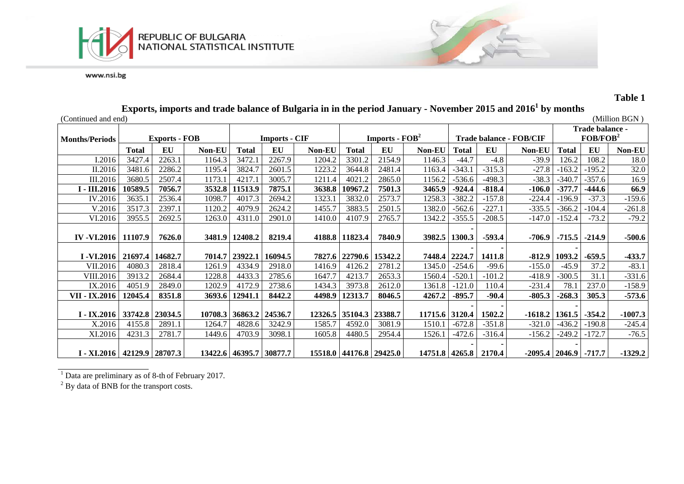



**Table 1**

|                                    |              |                      |         |                |                         |         |                |                                    |                       |               |          | Exports, imports and trade balance of Bulgaria in in the period January - November 2015 and 2016 TDY months |                      |                 |               |
|------------------------------------|--------------|----------------------|---------|----------------|-------------------------|---------|----------------|------------------------------------|-----------------------|---------------|----------|-------------------------------------------------------------------------------------------------------------|----------------------|-----------------|---------------|
| (Continued and end)                |              |                      |         |                |                         |         |                |                                    |                       |               |          |                                                                                                             |                      |                 | (Million BGN) |
|                                    |              |                      |         |                |                         |         |                |                                    |                       |               |          |                                                                                                             |                      | Trade balance - |               |
| <b>Months/Periods</b>              |              | <b>Exports - FOB</b> |         |                | <b>Imports - CIF</b>    |         |                | <b>Imports - <math>FOB2</math></b> |                       |               |          | <b>Trade balance - FOB/CIF</b>                                                                              | FOB/FOB <sup>2</sup> |                 |               |
|                                    | <b>Total</b> | EU                   | Non-EU  | Total          | EU                      | Non-EU  | <b>Total</b>   | EU                                 | Non-EU                | <b>Total</b>  | EU       | Non-EU                                                                                                      | <b>Total</b>         | EU              | Non-EU        |
| I.2016                             | 3427.4       | 2263.1               | 1164.3  | 3472.1         | 2267.9                  | 1204.2  | 3301.2         | 2154.9                             | 1146.3                | $-44.7$       | $-4.8$   | $-39.9$                                                                                                     | 126.2                | 108.2           | 18.0          |
| II.2016                            | 3481.6       | 2286.2               | 1195.4  | 3824.7         | 2601.5                  | 1223.2  | 3644.8         | 2481.4                             | 1163.4                | $-343.1$      | $-315.3$ | $-27.8$                                                                                                     | $-163.2$             | $-195.2$        | 32.0          |
| III.2016                           | 3680.5       | 2507.4               | 1173.1  | 4217.1         | 3005.7                  | 1211.4  | 4021.2         | 2865.0                             | 1156.2                | $-536.6$      | $-498.3$ | $-38.3$                                                                                                     | $-340.7$             | $-357.6$        | 16.9          |
| I - III.2016                       | 10589.5      | 7056.7               | 3532.8  | 11513.9        | 7875.1                  | 3638.8  | 10967.2        | 7501.3                             | 3465.9                | $-924.4$      | $-818.4$ | $-106.0$                                                                                                    | $-377.7$             | $-444.6$        | 66.9          |
| IV.2016                            | 3635.1       | 2536.4               | 1098.7  | 4017.3         | 2694.2                  | 1323.1  | 3832.0         | 2573.7                             | 1258.3                | $-382.2$      | $-157.8$ | $-224.4$                                                                                                    | -196.9               | $-37.3$         | $-159.6$      |
| V.2016                             | 3517.3       | 2397.1               | 1120.2  | 4079.9         | 2624.2                  | 1455.7  | 3883.5         | 2501.5                             | 1382.0                | $-562.6$      | $-227.1$ | $-335.5$                                                                                                    | $-366.2$             | $-104.4$        | $-261.8$      |
| VI.2016                            | 3955.5       | 2692.5               | 1263.0  | 4311.0         | 2901.0                  | 1410.0  | 4107.9         | 2765.7                             | 1342.2                | $-355.5$      | $-208.5$ | $-147.0$                                                                                                    | $-152.4$             | $-73.2$         | $-79.2$       |
|                                    |              |                      |         |                |                         |         |                |                                    |                       |               |          |                                                                                                             |                      |                 |               |
| IV -VI.2016   11107.9              |              | 7626.0               |         | 3481.9 12408.2 | 8219.4                  |         | 4188.8 11823.4 | 7840.9                             |                       | 3982.5 1300.3 | $-593.4$ |                                                                                                             | $-706.9$ $-715.5$    | $-214.9$        | $-500.6$      |
|                                    |              |                      |         |                |                         |         |                |                                    |                       |               |          |                                                                                                             |                      |                 |               |
| I -VI.2016   21697.4   14682.7     |              |                      |         | 7014.7 23922.1 | 16094.5                 |         | 7827.6 22790.6 | 15342.2                            |                       | 7448.4 2224.7 | 1411.8   |                                                                                                             | $-812.9$ 1093.2      | $-659.5$        | $-433.7$      |
| VII.2016                           | 4080.3       | 2818.4               | 1261.9  | 4334.9         | 2918.0                  | 1416.9  | 4126.2         | 2781.2                             | 1345.0                | $-254.6$      | $-99.6$  | $-155.0$                                                                                                    | $-45.9$              | 37.2            | $-83.1$       |
| <b>VIII.2016</b>                   | 3913.2       | 2684.4               | 1228.8  | 4433.3         | 2785.6                  | 1647.7  | 4213.7         | 2653.3                             | 1560.4                | $-520.1$      | $-101.2$ | $-418.9$                                                                                                    | $-300.5$             | 31.1            | $-331.6$      |
| IX.2016                            | 4051.9       | 2849.0               | 1202.9  | 4172.9         | 2738.6                  | 1434.3  | 3973.8         | 2612.0                             | 1361.8                | $-121.0$      | 110.4    | $-231.4$                                                                                                    | 78.1                 | 237.0           | $-158.9$      |
| VII - IX.2016                      | 12045.4      | 8351.8               | 3693.6  | 12941.1        | 8442.2                  | 4498.9  | 12313.7        | 8046.5                             | 4267.2                | $-895.7$      | $-90.4$  | $-805.3$                                                                                                    | $-268.3$             | 305.3           | $-573.6$      |
|                                    |              |                      |         |                |                         |         |                |                                    |                       |               |          |                                                                                                             |                      |                 |               |
| $I - IX$ .2016   33742.8   23034.5 |              |                      | 10708.3 | 36863.2        | 24536.7                 | 12326.5 | 35104.3        | 23388.7                            | 11715.6 3120.4        |               | 1502.2   | $-1618.2$   1361.5                                                                                          |                      | $-354.2$        | $-1007.3$     |
| X.2016                             | 4155.8       | 2891.1               | 1264.7  | 4828.6         | 3242.9                  | 1585.7  | 4592.0         | 3081.9                             | 1510.1                | $-672.8$      | $-351.8$ | $-321.0$                                                                                                    | $-436.2$             | $-190.8$        | $-245.4$      |
| XI.2016                            | 4231.3       | 2781.7               | 1449.6  | 4703.9         | 3098.1                  | 1605.8  | 4480.5         | 2954.4                             | 1526.1                | $-472.6$      | $-316.4$ | $-156.2$                                                                                                    | $-249.2$             | $-172.7$        | $-76.5$       |
|                                    |              |                      |         |                |                         |         |                |                                    |                       |               |          |                                                                                                             |                      |                 |               |
| I - XI.2016   42129.9   28707.3    |              |                      |         |                | 13422.6 46395.7 30877.7 |         |                | 15518.0 44176.8 29425.0            | 14751.8 4265.8 2170.4 |               |          | $-2095.4$   2046.9   $-717.7$                                                                               |                      |                 | $-1329.2$     |

### **Exports, imports and trade balance of Bulgaria in in the period January - November 2015 and 20161 by months**

 $\overline{1}$  Data are preliminary as of 8-th of February 2017.

 $2$  By data of BNB for the transport costs.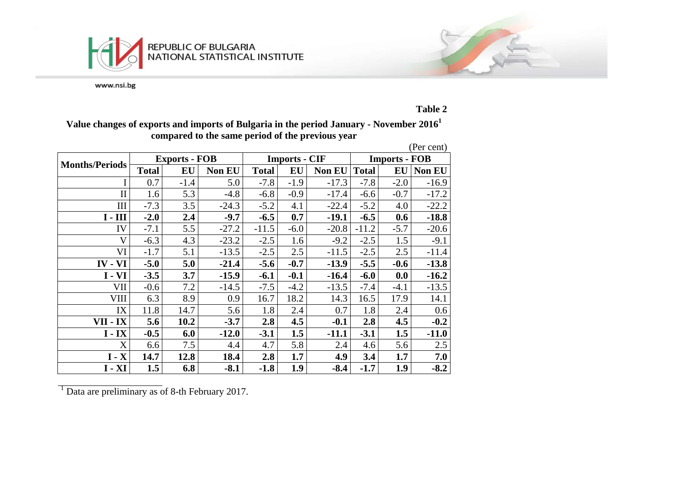



#### **Table 2**

### **Value changes of exports and imports of Bulgaria in the period January - November 20161 compared to the same period of the previous year**

|                         |              |                      |               |              |                      |               |                      |           | (Per cent)    |  |
|-------------------------|--------------|----------------------|---------------|--------------|----------------------|---------------|----------------------|-----------|---------------|--|
| <b>Months/Periods</b>   |              | <b>Exports - FOB</b> |               |              | <b>Imports - CIF</b> |               | <b>Imports - FOB</b> |           |               |  |
|                         | <b>Total</b> | EU                   | <b>Non EU</b> | <b>Total</b> | EU                   | <b>Non EU</b> | <b>Total</b>         | <b>EU</b> | <b>Non EU</b> |  |
|                         | 0.7          | $-1.4$               | 5.0           | $-7.8$       | $-1.9$               | $-17.3$       | $-7.8$               | $-2.0$    | $-16.9$       |  |
| $\mathbf{I}$            | 1.6          | 5.3                  | $-4.8$        | $-6.8$       | $-0.9$               | $-17.4$       | $-6.6$               | $-0.7$    | $-17.2$       |  |
| III                     | $-7.3$       | 3.5                  | $-24.3$       | $-5.2$       | 4.1                  | $-22.4$       | $-5.2$               | 4.0       | $-22.2$       |  |
| $I - III$               | $-2.0$       | 2.4                  | $-9.7$        | $-6.5$       | 0.7                  | $-19.1$       | $-6.5$               | 0.6       | $-18.8$       |  |
| IV                      | $-7.1$       | 5.5                  | $-27.2$       | $-11.5$      | $-6.0$               | $-20.8$       | $-11.2$              | $-5.7$    | $-20.6$       |  |
| $\overline{\mathsf{V}}$ | $-6.3$       | 4.3                  | $-23.2$       | $-2.5$       | 1.6                  | $-9.2$        | $-2.5$               | 1.5       | $-9.1$        |  |
| VI                      | $-1.7$       | 5.1                  | $-13.5$       | $-2.5$       | 2.5                  | $-11.5$       | $-2.5$               | 2.5       | $-11.4$       |  |
| VI<br>$IV -$            | $-5.0$       | 5.0                  | $-21.4$       | $-5.6$       | $-0.7$               | $-13.9$       | $-5.5$               | $-0.6$    | $-13.8$       |  |
| $I - VI$                | $-3.5$       | 3.7                  | $-15.9$       | $-6.1$       | $-0.1$               | $-16.4$       | $-6.0$               | 0.0       | $-16.2$       |  |
| VII                     | $-0.6$       | 7.2                  | $-14.5$       | $-7.5$       | $-4.2$               | $-13.5$       | $-7.4$               | $-4.1$    | $-13.5$       |  |
| <b>VIII</b>             | 6.3          | 8.9                  | 0.9           | 16.7         | 18.2                 | 14.3          | 16.5                 | 17.9      | 14.1          |  |
| IX                      | 11.8         | 14.7                 | 5.6           | 1.8          | 2.4                  | 0.7           | 1.8                  | 2.4       | 0.6           |  |
| VII - IX                | 5.6          | 10.2                 | $-3.7$        | 2.8          | 4.5                  | $-0.1$        | 2.8                  | 4.5       | $-0.2$        |  |
| $I - IX$                | $-0.5$       | 6.0                  | $-12.0$       | $-3.1$       | 1.5                  | $-11.1$       | $-3.1$               | 1.5       | $-11.0$       |  |
| X                       | 6.6          | 7.5                  | 4.4           | 4.7          | 5.8                  | 2.4           | 4.6                  | 5.6       | 2.5           |  |
| $I - X$                 | 14.7         | 12.8                 | 18.4          | 2.8          | 1.7                  | 4.9           | 3.4                  | 1.7       | 7.0           |  |
| $I - XI$                | 1.5          | 6.8                  | $-8.1$        | $-1.8$       | 1.9                  | $-8.4$        | $-1.7$               | 1.9       | $-8.2$        |  |

<sup>1</sup> Data are preliminary as of 8-th February 2017.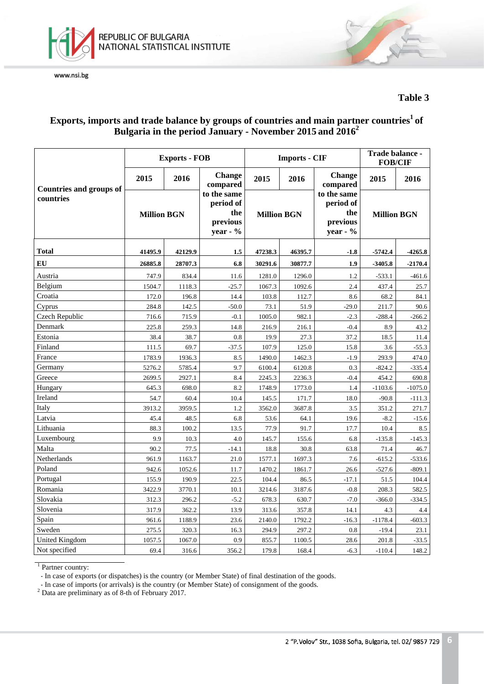



#### **Table 3**

## Exports, imports and trade balance by groups of countries and main partner countries<sup>1</sup> of **Bulgaria in the period January - November 2015 and 2016<sup>2</sup>**

|                                |                    | <b>Exports - FOB</b> |                                                           |                    | <b>Imports - CIF</b> | Trade balance -<br><b>FOB/CIF</b>                       |                    |           |
|--------------------------------|--------------------|----------------------|-----------------------------------------------------------|--------------------|----------------------|---------------------------------------------------------|--------------------|-----------|
| <b>Countries and groups of</b> | 2015               | 2016                 | <b>Change</b><br>compared                                 | 2015               | 2016                 | <b>Change</b><br>compared                               | 2015               | 2016      |
| countries                      | <b>Million BGN</b> |                      | to the same<br>period of<br>the<br>previous<br>year - $%$ | <b>Million BGN</b> |                      | to the same<br>period of<br>the<br>previous<br>year - % | <b>Million BGN</b> |           |
| <b>Total</b>                   | 41495.9            | 42129.9              | 1.5                                                       | 47238.3            | 46395.7              | $-1.8$                                                  | $-5742.4$          | $-4265.8$ |
| EU                             | 26885.8            | 28707.3              | 6.8                                                       | 30291.6            | 30877.7              | 1.9                                                     | $-3405.8$          | $-2170.4$ |
| Austria                        | 747.9              | 834.4                | 11.6                                                      | 1281.0             | 1296.0               | 1.2                                                     | $-533.1$           | $-461.6$  |
| Belgium                        | 1504.7             | 1118.3               | $-25.7$                                                   | 1067.3             | 1092.6               | 2.4                                                     | 437.4              | 25.7      |
| Croatia                        | 172.0              | 196.8                | 14.4                                                      | 103.8              | 112.7                | 8.6                                                     | 68.2               | 84.1      |
| Cyprus                         | 284.8              | 142.5                | $-50.0$                                                   | 73.1               | 51.9                 | $-29.0$                                                 | 211.7              | 90.6      |
| Czech Republic                 | 716.6              | 715.9                | $-0.1$                                                    | 1005.0             | 982.1                | $-2.3$                                                  | $-288.4$           | $-266.2$  |
| Denmark                        | 225.8              | 259.3                | 14.8                                                      | 216.9              | 216.1                | $-0.4$                                                  | 8.9                | 43.2      |
| Estonia                        | 38.4               | 38.7                 | 0.8                                                       | 19.9               | 27.3                 | 37.2                                                    | 18.5               | 11.4      |
| Finland                        | 111.5              | 69.7                 | $-37.5$                                                   | 107.9              | 125.0                | 15.8                                                    | 3.6                | $-55.3$   |
| France                         | 1783.9             | 1936.3               | 8.5                                                       | 1490.0             | 1462.3               | $-1.9$                                                  | 293.9              | 474.0     |
| Germany                        | 5276.2             | 5785.4               | 9.7                                                       | 6100.4             | 6120.8               | 0.3                                                     | $-824.2$           | $-335.4$  |
| Greece                         | 2699.5             | 2927.1               | 8.4                                                       | 2245.3             | 2236.3               | $-0.4$                                                  | 454.2              | 690.8     |
| Hungary                        | 645.3              | 698.0                | 8.2                                                       | 1748.9             | 1773.0               | 1.4                                                     | $-1103.6$          | $-1075.0$ |
| Ireland                        | 54.7               | 60.4                 | 10.4                                                      | 145.5              | 171.7                | 18.0                                                    | $-90.8$            | $-111.3$  |
| Italy                          | 3913.2             | 3959.5               | 1.2                                                       | 3562.0             | 3687.8               | 3.5                                                     | 351.2              | 271.7     |
| Latvia                         | 45.4               | 48.5                 | 6.8                                                       | 53.6               | 64.1                 | 19.6                                                    | $-8.2$             | $-15.6$   |
| Lithuania                      | 88.3               | 100.2                | 13.5                                                      | 77.9               | 91.7                 | 17.7                                                    | 10.4               | 8.5       |
| Luxembourg                     | 9.9                | 10.3                 | 4.0                                                       | 145.7              | 155.6                | 6.8                                                     | $-135.8$           | $-145.3$  |
| Malta                          | 90.2               | 77.5                 | $-14.1$                                                   | 18.8               | 30.8                 | 63.8                                                    | 71.4               | 46.7      |
| Netherlands                    | 961.9              | 1163.7               | 21.0                                                      | 1577.1             | 1697.3               | 7.6                                                     | $-615.2$           | $-533.6$  |
| Poland                         | 942.6              | 1052.6               | 11.7                                                      | 1470.2             | 1861.7               | 26.6                                                    | $-527.6$           | $-809.1$  |
| Portugal                       | 155.9              | 190.9                | 22.5                                                      | 104.4              | 86.5                 | $-17.1$                                                 | 51.5               | 104.4     |
| Romania                        | 3422.9             | 3770.1               | 10.1                                                      | 3214.6             | 3187.6               | $-0.8$                                                  | 208.3              | 582.5     |
| Slovakia                       | 312.3              | 296.2                | $-5.2$                                                    | 678.3              | 630.7                | $-7.0$                                                  | $-366.0$           | $-334.5$  |
| Slovenia                       | 317.9              | 362.2                | 13.9                                                      | 313.6              | 357.8                | 14.1                                                    | 4.3                | 4.4       |
| Spain                          | 961.6              | 1188.9               | 23.6                                                      | 2140.0             | 1792.2               | $-16.3$                                                 | $-1178.4$          | $-603.3$  |
| Sweden                         | 275.5              | 320.3                | 16.3                                                      | 294.9              | 297.2                | 0.8                                                     | $-19.4$            | 23.1      |
| <b>United Kingdom</b>          | 1057.5             | 1067.0               | 0.9                                                       | 855.7              | 1100.5               | 28.6                                                    | 201.8              | $-33.5$   |
| Not specified                  | 69.4               | 316.6                | 356.2                                                     | 179.8              | 168.4                | $-6.3$                                                  | $-110.4$           | 148.2     |

<sup>1</sup> Partner country:

- In case of exports (or dispatches) is the country (or Member State) of final destination of the goods.

- In case of imports (or arrivals) is the country (or Member State) of consignment of the goods. <sup>2</sup> Data are preliminary as of 8-th of February 2017.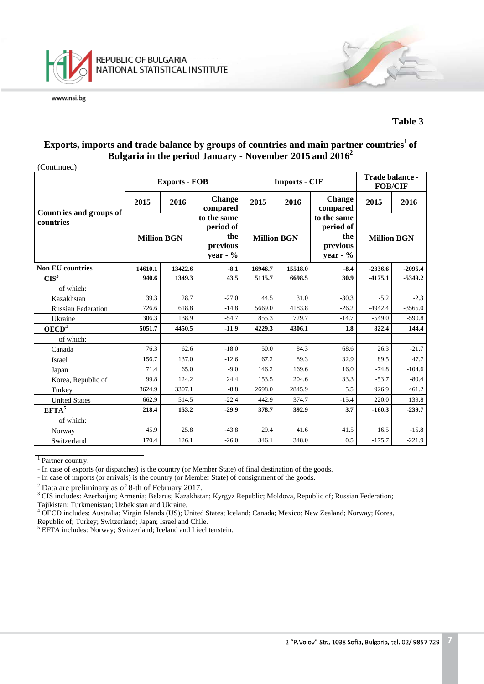

#### **Table 3**

#### **Exports, imports and trade balance by groups of countries and main partner countries<sup>1</sup> of Bulgaria in the period January - November 2015 and 2016<sup>2</sup>**

(Continued)

|                                |                    | <b>Exports - FOB</b> |                                                           |                    | <b>Imports - CIF</b> |                                                            | Trade balance -<br><b>FOB/CIF</b> |           |
|--------------------------------|--------------------|----------------------|-----------------------------------------------------------|--------------------|----------------------|------------------------------------------------------------|-----------------------------------|-----------|
| <b>Countries and groups of</b> | 2015               | 2016                 | <b>Change</b><br>compared                                 | 2015<br>2016       |                      | <b>Change</b><br>compared                                  | 2015                              | 2016      |
| countries                      | <b>Million BGN</b> |                      | to the same<br>period of<br>the<br>previous<br>year - $%$ | <b>Million BGN</b> |                      | to the same<br>period of<br>the<br>previous<br>year - $\%$ | <b>Million BGN</b>                |           |
| <b>Non EU countries</b>        | 14610.1            | 13422.6              | $-8.1$                                                    | 16946.7            | 15518.0              | $-8.4$                                                     | $-2336.6$                         | $-2095.4$ |
| CIS <sup>3</sup>               | 940.6              | 1349.3               | 43.5                                                      | 5115.7             | 6698.5               | 30.9                                                       | $-4175.1$                         | $-5349.2$ |
| of which:                      |                    |                      |                                                           |                    |                      |                                                            |                                   |           |
| Kazakhstan                     | 39.3               | 28.7                 | $-27.0$                                                   | 44.5               | 31.0                 | $-30.3$                                                    | $-5.2$                            | $-2.3$    |
| <b>Russian Federation</b>      | 726.6              | 618.8                | $-14.8$                                                   | 5669.0             | 4183.8               | $-26.2$                                                    | $-4942.4$                         | $-3565.0$ |
| Ukraine                        | 306.3              | 138.9                | $-54.7$                                                   | 855.3              | 729.7                | $-14.7$                                                    | $-549.0$                          | $-590.8$  |
| OECD <sup>4</sup>              | 5051.7             | 4450.5               | $-11.9$                                                   | 4229.3             | 4306.1               | 1.8                                                        | 822.4                             | 144.4     |
| of which:                      |                    |                      |                                                           |                    |                      |                                                            |                                   |           |
| Canada                         | 76.3               | 62.6                 | $-18.0$                                                   | 50.0               | 84.3                 | 68.6                                                       | 26.3                              | $-21.7$   |
| Israel                         | 156.7              | 137.0                | $-12.6$                                                   | 67.2               | 89.3                 | 32.9                                                       | 89.5                              | 47.7      |
| Japan                          | 71.4               | 65.0                 | $-9.0$                                                    | 146.2              | 169.6                | 16.0                                                       | $-74.8$                           | $-104.6$  |
| Korea, Republic of             | 99.8               | 124.2                | 24.4                                                      | 153.5              | 204.6                | 33.3                                                       | $-53.7$                           | $-80.4$   |
| Turkey                         | 3624.9             | 3307.1               | $-8.8$                                                    | 2698.0             | 2845.9               | 5.5                                                        | 926.9                             | 461.2     |
| <b>United States</b>           | 662.9              | 514.5                | $-22.4$                                                   | 442.9              | 374.7                | $-15.4$                                                    | 220.0                             | 139.8     |
| $EFTA^5$                       | 218.4              | 153.2                | $-29.9$                                                   | 378.7              | 392.9                | 3.7                                                        | $-160.3$                          | $-239.7$  |
| of which:                      |                    |                      |                                                           |                    |                      |                                                            |                                   |           |
| Norway                         | 45.9               | 25.8                 | $-43.8$                                                   | 29.4               | 41.6                 | 41.5                                                       | 16.5                              | $-15.8$   |
| Switzerland                    | 170.4              | 126.1                | $-26.0$                                                   | 346.1              | 348.0                | 0.5                                                        | $-175.7$                          | $-221.9$  |

<sup>1</sup> Partner country:

- In case of exports (or dispatches) is the country (or Member State) of final destination of the goods.

- In case of imports (or arrivals) is the country (or Member State) of consignment of the goods.

<sup>2</sup> Data are preliminary as of 8-th of February 2017.<br><sup>3</sup> CIS includes: Azerbaijan; Armenia; Belarus; Kazakhstan; Kyrgyz Republic; Moldova, Republic of; Russian Federation; Tajikistan; Turkmenistan; Uzbekistan and Ukraine

Tajikistan; Turkmenistan; Uzbekistan and Ukraine. <sup>4</sup> OECD includes: Australia; Virgin Islands (US); United States; Iceland; Canada; Mexico; New Zealand; Norway; Korea, Republic of; Turkey; Switzerland; Japan; Israel and Chile.

<sup>5</sup> EFTA includes: Norway; Switzerland; Iceland and Liechtenstein.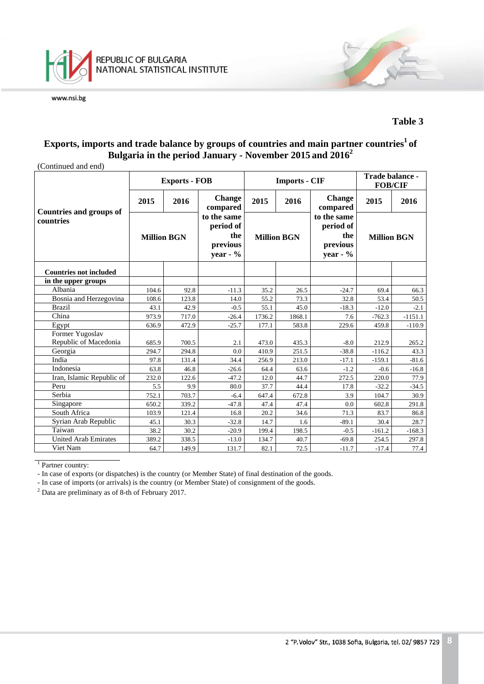

#### **Table 3**

#### Exports, imports and trade balance by groups of countries and main partner countries<sup>1</sup> of **Bulgaria in the period January - November 2015 and 2016<sup>2</sup>**

| (Continued and end) |
|---------------------|
|---------------------|

| (Continued and end)                      |                    | <b>Exports - FOB</b> |                                                            |        | <b>Imports - CIF</b> |                                                            | Trade balance -<br><b>FOB/CIF</b> |           |  |
|------------------------------------------|--------------------|----------------------|------------------------------------------------------------|--------|----------------------|------------------------------------------------------------|-----------------------------------|-----------|--|
| <b>Countries and groups of</b>           | 2015               | 2016                 | <b>Change</b><br>compared                                  | 2015   | 2016                 | <b>Change</b><br>compared                                  | 2015                              | 2016      |  |
| countries                                | <b>Million BGN</b> |                      | to the same<br>period of<br>the<br>previous<br>year - $\%$ |        | <b>Million BGN</b>   | to the same<br>period of<br>the<br>previous<br>year - $\%$ | <b>Million BGN</b>                |           |  |
| <b>Countries not included</b>            |                    |                      |                                                            |        |                      |                                                            |                                   |           |  |
| in the upper groups                      |                    |                      |                                                            |        |                      |                                                            |                                   |           |  |
| Albania                                  | 104.6              | 92.8                 | $-11.3$                                                    | 35.2   | 26.5                 | $-24.7$                                                    | 69.4                              | 66.3      |  |
| Bosnia and Herzegovina                   | 108.6              | 123.8                | 14.0                                                       | 55.2   | 73.3                 | 32.8                                                       | 53.4                              | 50.5      |  |
| <b>Brazil</b>                            | 43.1               | 42.9                 | $-0.5$                                                     | 55.1   | 45.0                 | $-18.3$                                                    | $-12.0$                           | $-2.1$    |  |
| China                                    | 973.9              | 717.0                | $-26.4$                                                    | 1736.2 | 1868.1               | 7.6                                                        | $-762.3$                          | $-1151.1$ |  |
| Egypt                                    | 636.9              | 472.9                | $-25.7$                                                    | 177.1  | 583.8                | 229.6                                                      | 459.8                             | $-110.9$  |  |
| Former Yugoslav<br>Republic of Macedonia | 685.9              | 700.5                | 2.1                                                        | 473.0  | 435.3                | $-8.0$                                                     | 212.9                             | 265.2     |  |
| Georgia                                  | 294.7              | 294.8                | 0.0                                                        | 410.9  | 251.5                | $-38.8$                                                    | $-116.2$                          | 43.3      |  |
| India                                    | 97.8               | 131.4                | 34.4                                                       | 256.9  | 213.0                | $-17.1$                                                    | $-159.1$                          | $-81.6$   |  |
| Indonesia                                | 63.8               | 46.8                 | $-26.6$                                                    | 64.4   | 63.6                 | $-1.2$                                                     | $-0.6$                            | $-16.8$   |  |
| Iran, Islamic Republic of                | 232.0              | 122.6                | $-47.2$                                                    | 12.0   | 44.7                 | 272.5                                                      | 220.0                             | 77.9      |  |
| Peru                                     | 5.5                | 9.9                  | 80.0                                                       | 37.7   | 44.4                 | 17.8                                                       | $-32.2$                           | $-34.5$   |  |
| Serbia                                   | 752.1              | 703.7                | $-6.4$                                                     | 647.4  | 672.8                | 3.9                                                        | 104.7                             | 30.9      |  |
| Singapore                                | 650.2              | 339.2                | $-47.8$                                                    | 47.4   | 47.4                 | 0.0                                                        | 602.8                             | 291.8     |  |
| South Africa                             | 103.9              | 121.4                | 16.8                                                       | 20.2   | 34.6                 | 71.3                                                       | 83.7                              | 86.8      |  |
| Syrian Arab Republic                     | 45.1               | 30.3                 | $-32.8$                                                    | 14.7   | 1.6                  | $-89.1$                                                    | 30.4                              | 28.7      |  |
| Taiwan                                   | 38.2               | 30.2                 | $-20.9$                                                    | 199.4  | 198.5                | $-0.5$                                                     | $-161.2$                          | $-168.3$  |  |
| <b>United Arab Emirates</b>              | 389.2              | 338.5                | $-13.0$                                                    | 134.7  | 40.7                 | $-69.8$                                                    | 254.5                             | 297.8     |  |
| Viet Nam                                 | 64.7               | 149.9                | 131.7                                                      | 82.1   | 72.5                 | $-11.7$                                                    | $-17.4$                           | 77.4      |  |

<sup>1</sup> Partner country:

- In case of exports (or dispatches) is the country (or Member State) of final destination of the goods.

- In case of imports (or arrivals) is the country (or Member State) of consignment of the goods.

 $2$  Data are preliminary as of 8-th of February 2017.